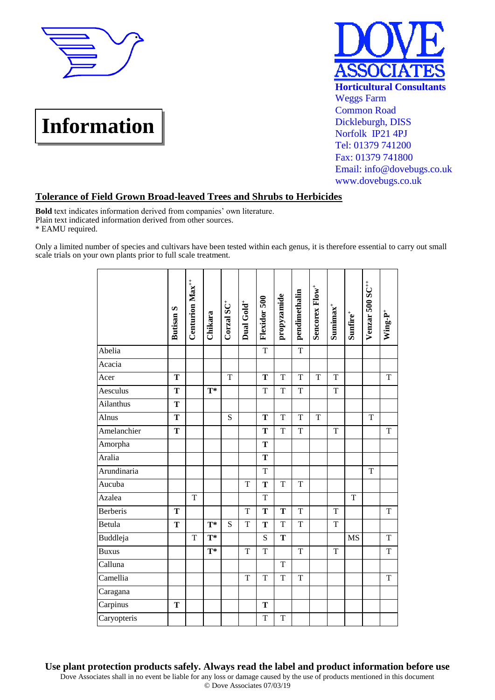





## **Tolerance of Field Grown Broad-leaved Trees and Shrubs to Herbicides**

**Bold** text indicates information derived from companies' own literature. Plain text indicated information derived from other sources. \* EAMU required.

Only a limited number of species and cultivars have been tested within each genus, it is therefore essential to carry out small scale trials on your own plants prior to full scale treatment.

|              | <b>Butisan S</b> | Centurion $Max^{++}$ | Chikara                   | Corzal $SC^+$  | Dual Gold <sup>+</sup> | Flexidor 500   | propyzamide    | pendimethalin  | Sencorex Flow <sup>+</sup> | $Sumimax^+$ | $Sumfire^+$ | Venzar 500 SC <sup>++</sup> | Wing-P <sup>+</sup> |
|--------------|------------------|----------------------|---------------------------|----------------|------------------------|----------------|----------------|----------------|----------------------------|-------------|-------------|-----------------------------|---------------------|
| Abelia       |                  |                      |                           |                |                        | $\overline{T}$ |                | $\overline{T}$ |                            |             |             |                             |                     |
| Acacia       |                  |                      |                           |                |                        |                |                |                |                            |             |             |                             |                     |
| Acer         | T                |                      |                           | $\overline{T}$ |                        | $\mathbf T$    | T              | T              | T                          | T           |             |                             | $\mathbf T$         |
| Aesculus     | $\mathbf T$      |                      | $\overline{\mathbf{T}}^*$ |                |                        | T              | T              | T              |                            | T           |             |                             |                     |
| Ailanthus    | T                |                      |                           |                |                        |                |                |                |                            |             |             |                             |                     |
| Alnus        | T                |                      |                           | S              |                        | T              | T              | T              | T                          |             |             | T                           |                     |
| Amelanchier  | T                |                      |                           |                |                        | T              | T              | $\mathbf T$    |                            | T           |             |                             | $\mathbf T$         |
| Amorpha      |                  |                      |                           |                |                        | T              |                |                |                            |             |             |                             |                     |
| Aralia       |                  |                      |                           |                |                        | T              |                |                |                            |             |             |                             |                     |
| Arundinaria  |                  |                      |                           |                |                        | T              |                |                |                            |             |             | T                           |                     |
| Aucuba       |                  |                      |                           |                | T                      | T              | T              | T              |                            |             |             |                             |                     |
| Azalea       |                  | T                    |                           |                |                        | T              |                |                |                            |             | T           |                             |                     |
| Berberis     | T                |                      |                           |                | T                      | T              | T              | $\mathbf T$    |                            | T           |             |                             | T                   |
| Betula       | T                |                      | $T^*$                     | S              | T                      | T              | T              | T              |                            | T           |             |                             |                     |
| Buddleja     |                  | T                    | $\mathbf{T}^*$            |                |                        | ${\bf S}$      | T              |                |                            |             | <b>MS</b>   |                             | T                   |
| <b>Buxus</b> |                  |                      | $\mathbf{T}^*$            |                | T                      | T              |                | T              |                            | T           |             |                             | $\mathbf T$         |
| Calluna      |                  |                      |                           |                |                        |                | T              |                |                            |             |             |                             |                     |
| Camellia     |                  |                      |                           |                | T                      | T              | $\overline{T}$ | T              |                            |             |             |                             | T                   |
| Caragana     |                  |                      |                           |                |                        |                |                |                |                            |             |             |                             |                     |
| Carpinus     | T                |                      |                           |                |                        | T              |                |                |                            |             |             |                             |                     |
| Caryopteris  |                  |                      |                           |                |                        | T              | T              |                |                            |             |             |                             |                     |

**Use plant protection products safely. Always read the label and product information before use**

Dove Associates shall in no event be liable for any loss or damage caused by the use of products mentioned in this document © Dove Associates 07/03/19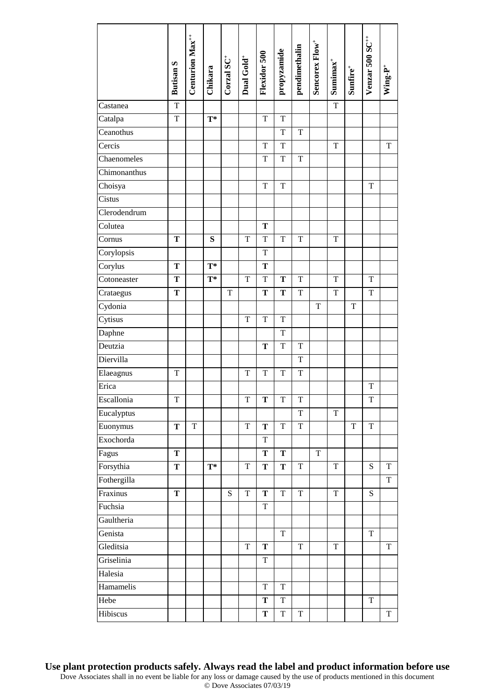|                               | <b>Butisan S</b> | Centurion Max <sup>++</sup> | Chikara        | Corzal $SC^+$ | Dual Gold <sup>+</sup> | Flexidor 500 | propyzamide    | pendimethalin  | Sencorex Flow <sup>+</sup> | $Sumimax$ + | $\mathbf{Sunfire}^+$ | Venzar 500 SC <sup>++</sup> | $Wing-P^+$  |
|-------------------------------|------------------|-----------------------------|----------------|---------------|------------------------|--------------|----------------|----------------|----------------------------|-------------|----------------------|-----------------------------|-------------|
| Castanea                      | $\mathbf T$      |                             |                |               |                        |              |                |                |                            | $\mathbf T$ |                      |                             |             |
| Catalpa                       | $\mathbf T$      |                             | $T^*$          |               |                        | T            | $\mathbf T$    |                |                            |             |                      |                             |             |
| Ceanothus                     |                  |                             |                |               |                        |              | T              | $\mathbf T$    |                            |             |                      |                             |             |
| Cercis                        |                  |                             |                |               |                        | $\mathbf T$  | T              |                |                            | $\mathbf T$ |                      |                             | T           |
| Chaenomeles                   |                  |                             |                |               |                        | $\mathbf T$  | $\mathbf T$    | $\mathbf T$    |                            |             |                      |                             |             |
| Chimonanthus                  |                  |                             |                |               |                        |              |                |                |                            |             |                      |                             |             |
| Choisya                       |                  |                             |                |               |                        | $\mathbf T$  | $\mathbf T$    |                |                            |             |                      | $\mathbf T$                 |             |
| Cistus                        |                  |                             |                |               |                        |              |                |                |                            |             |                      |                             |             |
| Clerodendrum                  |                  |                             |                |               |                        |              |                |                |                            |             |                      |                             |             |
| Colutea                       |                  |                             |                |               |                        | T            |                |                |                            |             |                      |                             |             |
| Cornus                        | T                |                             | ${\bf S}$      |               | T                      | $\mathbf T$  | $\mathbf T$    | $\mathbf T$    |                            | $\mathbf T$ |                      |                             |             |
| Corylopsis                    |                  |                             |                |               |                        | $\mathbf T$  |                |                |                            |             |                      |                             |             |
| $\overline{\mathrm{Corylus}}$ | $\mathbf T$      |                             | $T^*$          |               |                        | $\mathbf T$  |                |                |                            |             |                      |                             |             |
| Cotoneaster                   | T                |                             | $\mathbf{T}^*$ |               | T                      | T            | T              | $\mathbf T$    |                            | T           |                      | $\mathbf T$                 |             |
| Crataegus                     | T                |                             |                | T             |                        | T            | T              | $\mathbf T$    |                            | T           |                      | $\mathbf T$                 |             |
| Cydonia                       |                  |                             |                |               |                        |              |                |                | T                          |             | T                    |                             |             |
| Cytisus                       |                  |                             |                |               | $\mathbf T$            | $\mathbf T$  | $\mathbf T$    |                |                            |             |                      |                             |             |
| Daphne                        |                  |                             |                |               |                        |              | $\mathbf T$    |                |                            |             |                      |                             |             |
| $\overline{D}$ eutzia         |                  |                             |                |               |                        | T            | T              | $\mathbf T$    |                            |             |                      |                             |             |
| Diervilla                     |                  |                             |                |               |                        |              |                | $\mathbf T$    |                            |             |                      |                             |             |
| Elaeagnus                     | T                |                             |                |               | $\mathbf T$            | $\mathbf T$  | $\mathbf T$    | $\mathbf T$    |                            |             |                      |                             |             |
| Erica                         |                  |                             |                |               |                        |              |                |                |                            |             |                      | $\mathbf T$                 |             |
| Escallonia                    | T                |                             |                |               | T                      | Т            | T              | T              |                            |             |                      | T                           |             |
| Eucalyptus                    |                  |                             |                |               |                        |              |                | $\overline{T}$ |                            | T           |                      |                             |             |
| Euonymus                      | $\mathbf T$      | T                           |                |               | T                      | $\mathbf T$  | $\overline{T}$ | $\mathbf T$    |                            |             | T                    | $\overline{T}$              |             |
| Exochorda                     |                  |                             |                |               |                        | $\mathbf T$  |                |                |                            |             |                      |                             |             |
| Fagus                         | T                |                             |                |               |                        | T            | T              |                | T                          |             |                      |                             |             |
| Forsythia                     | $\mathbf T$      |                             | $\mathbf{T}^*$ |               | $\mathbf T$            | $\mathbf T$  | T              | $\mathbf T$    |                            | $\mathbf T$ |                      | S                           | $\mathbf T$ |
| Fothergilla                   |                  |                             |                |               |                        |              |                |                |                            |             |                      |                             | $\mathbf T$ |
| Fraxinus                      | T                |                             |                | ${\bf S}$     | $\mathbf T$            | Т            | $\mathbf T$    | $\mathbf T$    |                            | $\mathbf T$ |                      | ${\bf S}$                   |             |
| Fuchsia                       |                  |                             |                |               |                        | $\mathbf T$  |                |                |                            |             |                      |                             |             |
| Gaultheria                    |                  |                             |                |               |                        |              |                |                |                            |             |                      |                             |             |
| Genista                       |                  |                             |                |               |                        |              | $\mathbf T$    |                |                            |             |                      | $\mathbf T$                 |             |
| Gleditsia                     |                  |                             |                |               | $\mathbf T$            | ${\bf T}$    |                | $\mathbf T$    |                            | $\mathbf T$ |                      |                             | $\mathbf T$ |
| Griselinia                    |                  |                             |                |               |                        | $\mathbf T$  |                |                |                            |             |                      |                             |             |
| Halesia                       |                  |                             |                |               |                        |              |                |                |                            |             |                      |                             |             |
| Hamamelis                     |                  |                             |                |               |                        | $\mathbf T$  | $\mathbf T$    |                |                            |             |                      |                             |             |
| Hebe                          |                  |                             |                |               |                        | ${\bf T}$    | $\rm T$        |                |                            |             |                      | $\mathbf T$                 |             |
| Hibiscus                      |                  |                             |                |               |                        | T            | $\mathbf T$    | $\mathbf T$    |                            |             |                      |                             | $\mathbf T$ |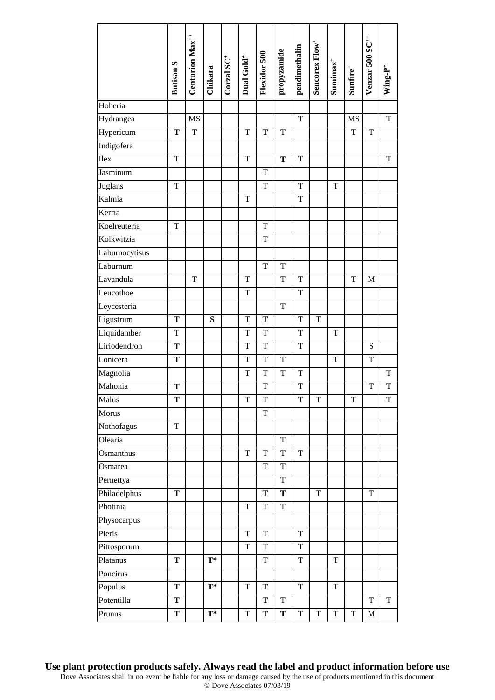| Hydrangea<br>MS<br>$\mathbf T$<br><b>MS</b><br>$\mathbf T$<br>Hypericum<br>$\mathbf T$<br>$\mathbf T$<br>$\mathbf T$<br>$\mathbf T$<br>T<br>$\mathbf T$<br>T<br>Indigofera<br>Ilex<br>$\mathbf T$<br>$\mathbf T$<br>T<br>$\mathbf T$<br>$\mathbf T$<br>Jasminum<br>$\mathbf T$<br>Juglans<br>$\mathbf T$<br>$\mathbf T$<br>$\mathbf T$<br>T<br>Kalmia<br>$\mathbf T$<br>$\mathbf T$<br>Kerria<br>Koelreuteria<br>$\mathbf T$<br>T<br>Kolkwitzia<br>$\mathbf T$<br>Laburnocytisus<br>Laburnum<br>$\mathbf T$<br>$\mathbf T$<br>Lavandula<br>$\mathbf T$<br>$\mathbf T$<br>$\mathbf T$<br>$\mathbf T$<br>$\mathbf T$<br>$\mathbf M$<br>Leucothoe<br>$\mathbf T$<br>$\mathbf T$<br>Leycesteria<br>T<br>Ligustrum<br>$\mathbf T$<br>$\mathbf T$<br>${\bf S}$<br>${\bf T}$<br>$\mathbf T$<br>$\rm T$<br>Liquidamber<br>$\mathbf T$<br>$\mathbf T$<br>$\mathbf T$<br>$\mathbf T$<br>T<br>Liriodendron<br>$\mathbf T$<br>$\mathbf T$<br>$\mathbf T$<br>$\mathbf T$<br>${\bf S}$<br>Lonicera<br>${\bf T}$<br>$\mathbf T$<br>$\mathbf T$<br>$\mathbf T$<br>$\mathbf T$<br>$\mathbf T$<br>Magnolia<br>$\mathbf T$<br>$\mathbf T$<br>$\mathbf T$<br>$\mathbf T$<br>$\mathbf T$<br>Mahonia<br>$\mathbf T$<br>T<br>T<br>$\mathbf T$<br>T<br>Malus<br>$\mathbf T$<br>$\mathbf T$<br>T<br>$\mathbf T$<br>$\rm T$<br>$\mathbf T$<br>$\mathbf T$<br>T<br>Morus<br>Nothofagus<br>$\mathbf T$<br>Olearia<br>$\rm T$<br>Osmanthus<br>$\mathbf T$<br>$\mathbf T$<br>$\mathbf T$<br>$\mathbf T$<br>$\mathbf T$<br>$\mathbf T$<br>Osmarea<br>Pernettya<br>$\mathbf T$<br>Philadelphus<br>$\mathbf T$<br>T<br>$\rm T$<br>$\mathbf T$<br>Т<br>Photinia<br>$\mathbf T$<br>$\mathbf T$<br>$\mathbf T$<br>Physocarpus<br>Pieris<br>T<br>T<br>$\mathbf T$<br>Pittosporum<br>$\mathbf T$<br>$\mathbf T$<br>$\mathbf T$<br>Platanus<br>$\mathbf T$<br>$\mathbf T$<br>T<br>$T^*$<br>T<br>Poncirus<br>Populus<br>$T^*$<br>$\mathbf T$<br>$\mathbf T$<br>$\mathbf T$<br>T<br>$\mathbf T$<br>Potentilla<br>T<br>$\mathbf T$<br>T<br>T<br>$\mathbf T$ |         | <b>Butisan S</b> | Centurion Max <sup>++</sup> | Chikara | Corzal $\mathbf{SC}^+$ | Dual Gold <sup>+</sup> | Flexidor 500 | propyzamide | pendimethalin | Sencorex Flow <sup>+</sup> | $Sumimax^+$ | $Sumfire^+$ | Venzar 500 SC <sup>++</sup> | $\mathbf{Wing}\text{-}\mathbf{P}^+$ |
|-------------------------------------------------------------------------------------------------------------------------------------------------------------------------------------------------------------------------------------------------------------------------------------------------------------------------------------------------------------------------------------------------------------------------------------------------------------------------------------------------------------------------------------------------------------------------------------------------------------------------------------------------------------------------------------------------------------------------------------------------------------------------------------------------------------------------------------------------------------------------------------------------------------------------------------------------------------------------------------------------------------------------------------------------------------------------------------------------------------------------------------------------------------------------------------------------------------------------------------------------------------------------------------------------------------------------------------------------------------------------------------------------------------------------------------------------------------------------------------------------------------------------------------------------------------------------------------------------------------------------------------------------------------------------------------------------------------------------------------------------------------------------------------------------------------------------------------------------------------------------------------------------------------------------------------------------------------------------------------------------------------------|---------|------------------|-----------------------------|---------|------------------------|------------------------|--------------|-------------|---------------|----------------------------|-------------|-------------|-----------------------------|-------------------------------------|
|                                                                                                                                                                                                                                                                                                                                                                                                                                                                                                                                                                                                                                                                                                                                                                                                                                                                                                                                                                                                                                                                                                                                                                                                                                                                                                                                                                                                                                                                                                                                                                                                                                                                                                                                                                                                                                                                                                                                                                                                                   | Hoheria |                  |                             |         |                        |                        |              |             |               |                            |             |             |                             |                                     |
|                                                                                                                                                                                                                                                                                                                                                                                                                                                                                                                                                                                                                                                                                                                                                                                                                                                                                                                                                                                                                                                                                                                                                                                                                                                                                                                                                                                                                                                                                                                                                                                                                                                                                                                                                                                                                                                                                                                                                                                                                   |         |                  |                             |         |                        |                        |              |             |               |                            |             |             |                             |                                     |
|                                                                                                                                                                                                                                                                                                                                                                                                                                                                                                                                                                                                                                                                                                                                                                                                                                                                                                                                                                                                                                                                                                                                                                                                                                                                                                                                                                                                                                                                                                                                                                                                                                                                                                                                                                                                                                                                                                                                                                                                                   |         |                  |                             |         |                        |                        |              |             |               |                            |             |             |                             |                                     |
|                                                                                                                                                                                                                                                                                                                                                                                                                                                                                                                                                                                                                                                                                                                                                                                                                                                                                                                                                                                                                                                                                                                                                                                                                                                                                                                                                                                                                                                                                                                                                                                                                                                                                                                                                                                                                                                                                                                                                                                                                   |         |                  |                             |         |                        |                        |              |             |               |                            |             |             |                             |                                     |
|                                                                                                                                                                                                                                                                                                                                                                                                                                                                                                                                                                                                                                                                                                                                                                                                                                                                                                                                                                                                                                                                                                                                                                                                                                                                                                                                                                                                                                                                                                                                                                                                                                                                                                                                                                                                                                                                                                                                                                                                                   |         |                  |                             |         |                        |                        |              |             |               |                            |             |             |                             |                                     |
|                                                                                                                                                                                                                                                                                                                                                                                                                                                                                                                                                                                                                                                                                                                                                                                                                                                                                                                                                                                                                                                                                                                                                                                                                                                                                                                                                                                                                                                                                                                                                                                                                                                                                                                                                                                                                                                                                                                                                                                                                   |         |                  |                             |         |                        |                        |              |             |               |                            |             |             |                             |                                     |
|                                                                                                                                                                                                                                                                                                                                                                                                                                                                                                                                                                                                                                                                                                                                                                                                                                                                                                                                                                                                                                                                                                                                                                                                                                                                                                                                                                                                                                                                                                                                                                                                                                                                                                                                                                                                                                                                                                                                                                                                                   |         |                  |                             |         |                        |                        |              |             |               |                            |             |             |                             |                                     |
|                                                                                                                                                                                                                                                                                                                                                                                                                                                                                                                                                                                                                                                                                                                                                                                                                                                                                                                                                                                                                                                                                                                                                                                                                                                                                                                                                                                                                                                                                                                                                                                                                                                                                                                                                                                                                                                                                                                                                                                                                   |         |                  |                             |         |                        |                        |              |             |               |                            |             |             |                             |                                     |
|                                                                                                                                                                                                                                                                                                                                                                                                                                                                                                                                                                                                                                                                                                                                                                                                                                                                                                                                                                                                                                                                                                                                                                                                                                                                                                                                                                                                                                                                                                                                                                                                                                                                                                                                                                                                                                                                                                                                                                                                                   |         |                  |                             |         |                        |                        |              |             |               |                            |             |             |                             |                                     |
|                                                                                                                                                                                                                                                                                                                                                                                                                                                                                                                                                                                                                                                                                                                                                                                                                                                                                                                                                                                                                                                                                                                                                                                                                                                                                                                                                                                                                                                                                                                                                                                                                                                                                                                                                                                                                                                                                                                                                                                                                   |         |                  |                             |         |                        |                        |              |             |               |                            |             |             |                             |                                     |
|                                                                                                                                                                                                                                                                                                                                                                                                                                                                                                                                                                                                                                                                                                                                                                                                                                                                                                                                                                                                                                                                                                                                                                                                                                                                                                                                                                                                                                                                                                                                                                                                                                                                                                                                                                                                                                                                                                                                                                                                                   |         |                  |                             |         |                        |                        |              |             |               |                            |             |             |                             |                                     |
|                                                                                                                                                                                                                                                                                                                                                                                                                                                                                                                                                                                                                                                                                                                                                                                                                                                                                                                                                                                                                                                                                                                                                                                                                                                                                                                                                                                                                                                                                                                                                                                                                                                                                                                                                                                                                                                                                                                                                                                                                   |         |                  |                             |         |                        |                        |              |             |               |                            |             |             |                             |                                     |
|                                                                                                                                                                                                                                                                                                                                                                                                                                                                                                                                                                                                                                                                                                                                                                                                                                                                                                                                                                                                                                                                                                                                                                                                                                                                                                                                                                                                                                                                                                                                                                                                                                                                                                                                                                                                                                                                                                                                                                                                                   |         |                  |                             |         |                        |                        |              |             |               |                            |             |             |                             |                                     |
|                                                                                                                                                                                                                                                                                                                                                                                                                                                                                                                                                                                                                                                                                                                                                                                                                                                                                                                                                                                                                                                                                                                                                                                                                                                                                                                                                                                                                                                                                                                                                                                                                                                                                                                                                                                                                                                                                                                                                                                                                   |         |                  |                             |         |                        |                        |              |             |               |                            |             |             |                             |                                     |
|                                                                                                                                                                                                                                                                                                                                                                                                                                                                                                                                                                                                                                                                                                                                                                                                                                                                                                                                                                                                                                                                                                                                                                                                                                                                                                                                                                                                                                                                                                                                                                                                                                                                                                                                                                                                                                                                                                                                                                                                                   |         |                  |                             |         |                        |                        |              |             |               |                            |             |             |                             |                                     |
|                                                                                                                                                                                                                                                                                                                                                                                                                                                                                                                                                                                                                                                                                                                                                                                                                                                                                                                                                                                                                                                                                                                                                                                                                                                                                                                                                                                                                                                                                                                                                                                                                                                                                                                                                                                                                                                                                                                                                                                                                   |         |                  |                             |         |                        |                        |              |             |               |                            |             |             |                             |                                     |
|                                                                                                                                                                                                                                                                                                                                                                                                                                                                                                                                                                                                                                                                                                                                                                                                                                                                                                                                                                                                                                                                                                                                                                                                                                                                                                                                                                                                                                                                                                                                                                                                                                                                                                                                                                                                                                                                                                                                                                                                                   |         |                  |                             |         |                        |                        |              |             |               |                            |             |             |                             |                                     |
|                                                                                                                                                                                                                                                                                                                                                                                                                                                                                                                                                                                                                                                                                                                                                                                                                                                                                                                                                                                                                                                                                                                                                                                                                                                                                                                                                                                                                                                                                                                                                                                                                                                                                                                                                                                                                                                                                                                                                                                                                   |         |                  |                             |         |                        |                        |              |             |               |                            |             |             |                             |                                     |
|                                                                                                                                                                                                                                                                                                                                                                                                                                                                                                                                                                                                                                                                                                                                                                                                                                                                                                                                                                                                                                                                                                                                                                                                                                                                                                                                                                                                                                                                                                                                                                                                                                                                                                                                                                                                                                                                                                                                                                                                                   |         |                  |                             |         |                        |                        |              |             |               |                            |             |             |                             |                                     |
|                                                                                                                                                                                                                                                                                                                                                                                                                                                                                                                                                                                                                                                                                                                                                                                                                                                                                                                                                                                                                                                                                                                                                                                                                                                                                                                                                                                                                                                                                                                                                                                                                                                                                                                                                                                                                                                                                                                                                                                                                   |         |                  |                             |         |                        |                        |              |             |               |                            |             |             |                             |                                     |
|                                                                                                                                                                                                                                                                                                                                                                                                                                                                                                                                                                                                                                                                                                                                                                                                                                                                                                                                                                                                                                                                                                                                                                                                                                                                                                                                                                                                                                                                                                                                                                                                                                                                                                                                                                                                                                                                                                                                                                                                                   |         |                  |                             |         |                        |                        |              |             |               |                            |             |             |                             |                                     |
|                                                                                                                                                                                                                                                                                                                                                                                                                                                                                                                                                                                                                                                                                                                                                                                                                                                                                                                                                                                                                                                                                                                                                                                                                                                                                                                                                                                                                                                                                                                                                                                                                                                                                                                                                                                                                                                                                                                                                                                                                   |         |                  |                             |         |                        |                        |              |             |               |                            |             |             |                             |                                     |
|                                                                                                                                                                                                                                                                                                                                                                                                                                                                                                                                                                                                                                                                                                                                                                                                                                                                                                                                                                                                                                                                                                                                                                                                                                                                                                                                                                                                                                                                                                                                                                                                                                                                                                                                                                                                                                                                                                                                                                                                                   |         |                  |                             |         |                        |                        |              |             |               |                            |             |             |                             |                                     |
|                                                                                                                                                                                                                                                                                                                                                                                                                                                                                                                                                                                                                                                                                                                                                                                                                                                                                                                                                                                                                                                                                                                                                                                                                                                                                                                                                                                                                                                                                                                                                                                                                                                                                                                                                                                                                                                                                                                                                                                                                   |         |                  |                             |         |                        |                        |              |             |               |                            |             |             |                             |                                     |
|                                                                                                                                                                                                                                                                                                                                                                                                                                                                                                                                                                                                                                                                                                                                                                                                                                                                                                                                                                                                                                                                                                                                                                                                                                                                                                                                                                                                                                                                                                                                                                                                                                                                                                                                                                                                                                                                                                                                                                                                                   |         |                  |                             |         |                        |                        |              |             |               |                            |             |             |                             |                                     |
|                                                                                                                                                                                                                                                                                                                                                                                                                                                                                                                                                                                                                                                                                                                                                                                                                                                                                                                                                                                                                                                                                                                                                                                                                                                                                                                                                                                                                                                                                                                                                                                                                                                                                                                                                                                                                                                                                                                                                                                                                   |         |                  |                             |         |                        |                        |              |             |               |                            |             |             |                             |                                     |
|                                                                                                                                                                                                                                                                                                                                                                                                                                                                                                                                                                                                                                                                                                                                                                                                                                                                                                                                                                                                                                                                                                                                                                                                                                                                                                                                                                                                                                                                                                                                                                                                                                                                                                                                                                                                                                                                                                                                                                                                                   |         |                  |                             |         |                        |                        |              |             |               |                            |             |             |                             |                                     |
|                                                                                                                                                                                                                                                                                                                                                                                                                                                                                                                                                                                                                                                                                                                                                                                                                                                                                                                                                                                                                                                                                                                                                                                                                                                                                                                                                                                                                                                                                                                                                                                                                                                                                                                                                                                                                                                                                                                                                                                                                   |         |                  |                             |         |                        |                        |              |             |               |                            |             |             |                             |                                     |
|                                                                                                                                                                                                                                                                                                                                                                                                                                                                                                                                                                                                                                                                                                                                                                                                                                                                                                                                                                                                                                                                                                                                                                                                                                                                                                                                                                                                                                                                                                                                                                                                                                                                                                                                                                                                                                                                                                                                                                                                                   |         |                  |                             |         |                        |                        |              |             |               |                            |             |             |                             |                                     |
|                                                                                                                                                                                                                                                                                                                                                                                                                                                                                                                                                                                                                                                                                                                                                                                                                                                                                                                                                                                                                                                                                                                                                                                                                                                                                                                                                                                                                                                                                                                                                                                                                                                                                                                                                                                                                                                                                                                                                                                                                   |         |                  |                             |         |                        |                        |              |             |               |                            |             |             |                             |                                     |
|                                                                                                                                                                                                                                                                                                                                                                                                                                                                                                                                                                                                                                                                                                                                                                                                                                                                                                                                                                                                                                                                                                                                                                                                                                                                                                                                                                                                                                                                                                                                                                                                                                                                                                                                                                                                                                                                                                                                                                                                                   |         |                  |                             |         |                        |                        |              |             |               |                            |             |             |                             |                                     |
|                                                                                                                                                                                                                                                                                                                                                                                                                                                                                                                                                                                                                                                                                                                                                                                                                                                                                                                                                                                                                                                                                                                                                                                                                                                                                                                                                                                                                                                                                                                                                                                                                                                                                                                                                                                                                                                                                                                                                                                                                   |         |                  |                             |         |                        |                        |              |             |               |                            |             |             |                             |                                     |
|                                                                                                                                                                                                                                                                                                                                                                                                                                                                                                                                                                                                                                                                                                                                                                                                                                                                                                                                                                                                                                                                                                                                                                                                                                                                                                                                                                                                                                                                                                                                                                                                                                                                                                                                                                                                                                                                                                                                                                                                                   |         |                  |                             |         |                        |                        |              |             |               |                            |             |             |                             |                                     |
|                                                                                                                                                                                                                                                                                                                                                                                                                                                                                                                                                                                                                                                                                                                                                                                                                                                                                                                                                                                                                                                                                                                                                                                                                                                                                                                                                                                                                                                                                                                                                                                                                                                                                                                                                                                                                                                                                                                                                                                                                   |         |                  |                             |         |                        |                        |              |             |               |                            |             |             |                             |                                     |
|                                                                                                                                                                                                                                                                                                                                                                                                                                                                                                                                                                                                                                                                                                                                                                                                                                                                                                                                                                                                                                                                                                                                                                                                                                                                                                                                                                                                                                                                                                                                                                                                                                                                                                                                                                                                                                                                                                                                                                                                                   |         |                  |                             |         |                        |                        |              |             |               |                            |             |             |                             |                                     |
|                                                                                                                                                                                                                                                                                                                                                                                                                                                                                                                                                                                                                                                                                                                                                                                                                                                                                                                                                                                                                                                                                                                                                                                                                                                                                                                                                                                                                                                                                                                                                                                                                                                                                                                                                                                                                                                                                                                                                                                                                   |         |                  |                             |         |                        |                        |              |             |               |                            |             |             |                             |                                     |
|                                                                                                                                                                                                                                                                                                                                                                                                                                                                                                                                                                                                                                                                                                                                                                                                                                                                                                                                                                                                                                                                                                                                                                                                                                                                                                                                                                                                                                                                                                                                                                                                                                                                                                                                                                                                                                                                                                                                                                                                                   |         |                  |                             |         |                        |                        |              |             |               |                            |             |             |                             |                                     |
|                                                                                                                                                                                                                                                                                                                                                                                                                                                                                                                                                                                                                                                                                                                                                                                                                                                                                                                                                                                                                                                                                                                                                                                                                                                                                                                                                                                                                                                                                                                                                                                                                                                                                                                                                                                                                                                                                                                                                                                                                   |         |                  |                             |         |                        |                        |              |             |               |                            |             |             |                             |                                     |
|                                                                                                                                                                                                                                                                                                                                                                                                                                                                                                                                                                                                                                                                                                                                                                                                                                                                                                                                                                                                                                                                                                                                                                                                                                                                                                                                                                                                                                                                                                                                                                                                                                                                                                                                                                                                                                                                                                                                                                                                                   | Prunus  | T                |                             | $T^*$   |                        | $\mathbf T$            | ${\bf T}$    | T           | $\mathbf T$   | $\rm T$                    | $\mathbf T$ | $\mathbf T$ | $\mathbf M$                 |                                     |